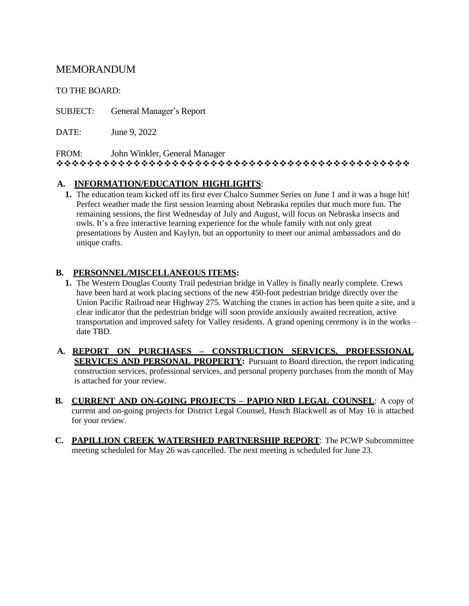## MEMORANDUM

TO THE BOARD:

SUBJECT: General Manager's Report

DATE: June 9, 2022

FROM: John Winkler, General Manager

❖❖❖❖❖❖❖❖❖❖❖❖❖❖❖❖❖❖❖❖❖❖❖❖❖❖❖❖❖❖❖❖❖❖❖❖❖❖❖❖❖❖❖❖❖❖

## **A. INFORMATION/EDUCATION HIGHLIGHTS**:

**1.** The education team kicked off its first ever Chalco Summer Series on June 1 and it was a huge hit! Perfect weather made the first session learning about Nebraska reptiles that much more fun. The remaining sessions, the first Wednesday of July and August, will focus on Nebraska insects and owls. It's a free interactive learning experience for the whole family with not only great presentations by Austen and Kaylyn, but an opportunity to meet our animal ambassadors and do unique crafts.

## **B. PERSONNEL/MISCELLANEOUS ITEMS:**

- **1.** The Western Douglas County Trail pedestrian bridge in Valley is finally nearly complete. Crews have been hard at work placing sections of the new 450-foot pedestrian bridge directly over the Union Pacific Railroad near Highway 275. Watching the cranes in action has been quite a site, and a clear indicator that the pedestrian bridge will soon provide anxiously awaited recreation, active transportation and improved safety for Valley residents. A grand opening ceremony is in the works – date TBD.
- **A. REPORT ON PURCHASES – CONSTRUCTION SERVICES, PROFESSIONAL SERVICES AND PERSONAL PROPERTY:** Pursuant to Board direction, the report indicating construction services, professional services, and personal property purchases from the month of May is attached for your review.
- **B. CURRENT AND ON-GOING PROJECTS – PAPIO NRD LEGAL COUNSEL**: A copy of current and on-going projects for District Legal Counsel, Husch Blackwell as of May 16 is attached for your review.
- **C. PAPILLION CREEK WATERSHED PARTNERSHIP REPORT**: The PCWP Subcommittee meeting scheduled for May 26 was cancelled. The next meeting is scheduled for June 23.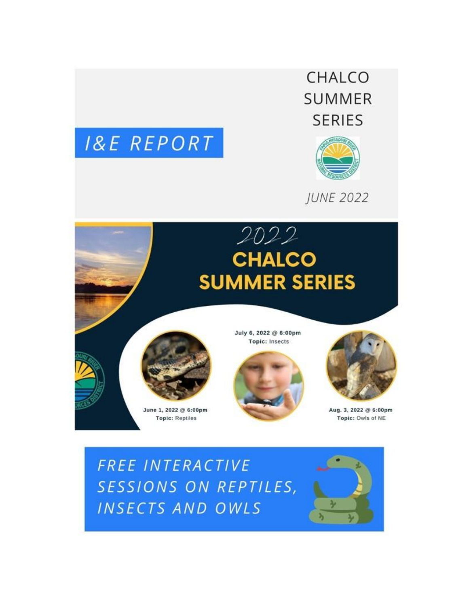





**JUNE 2022** 



FREE INTERACTIVE SESSIONS ON REPTILES, INSECTS AND OWLS

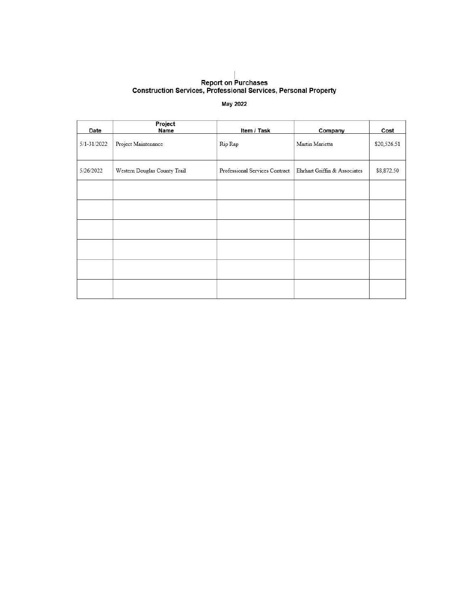# Report on Purchases<br>Construction Services, Professional Services, Personal Property

#### May 2022

| Date            | Project<br>Name              | Item / Task                    | Company                      | Cost        |
|-----------------|------------------------------|--------------------------------|------------------------------|-------------|
| $5/1 - 31/2022$ | Project Maintenance          | Rip Rap                        | Martin Marietta              | \$20,526.51 |
| 5/26/2022       | Western Douglas County Trail | Professional Services Contract | Ehrhart Griffin & Associates | \$8,872.50  |
|                 |                              |                                |                              |             |
|                 |                              |                                |                              |             |
|                 |                              |                                |                              |             |
|                 |                              |                                |                              |             |
|                 |                              |                                |                              |             |
|                 |                              |                                |                              |             |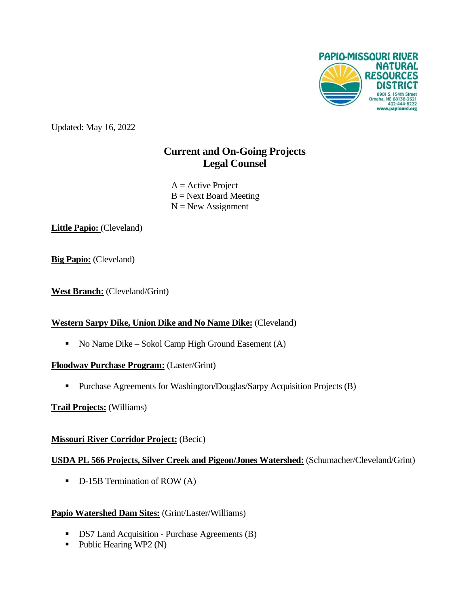

Updated: May 16, 2022

# **Current and On-Going Projects Legal Counsel**

 $A =$  Active Project  $B = Next$  Board Meeting  $N = New Assignment$ 

Little Papio: (Cleveland)

**Big Papio:** (Cleveland)

**West Branch:** (Cleveland/Grint)

## **Western Sarpy Dike, Union Dike and No Name Dike:** (Cleveland)

■ No Name Dike – Sokol Camp High Ground Easement (A)

## **Floodway Purchase Program:** (Laster/Grint)

**•** Purchase Agreements for Washington/Douglas/Sarpy Acquisition Projects (B)

## **Trail Projects:** (Williams)

# **Missouri River Corridor Project:** (Becic)

## **USDA PL 566 Projects, Silver Creek and Pigeon/Jones Watershed:** (Schumacher/Cleveland/Grint)

■ D-15B Termination of ROW (A)

## **Papio Watershed Dam Sites:** (Grint/Laster/Williams)

- DS7 Land Acquisition Purchase Agreements (B)
- $\blacksquare$  Public Hearing WP2 (N)